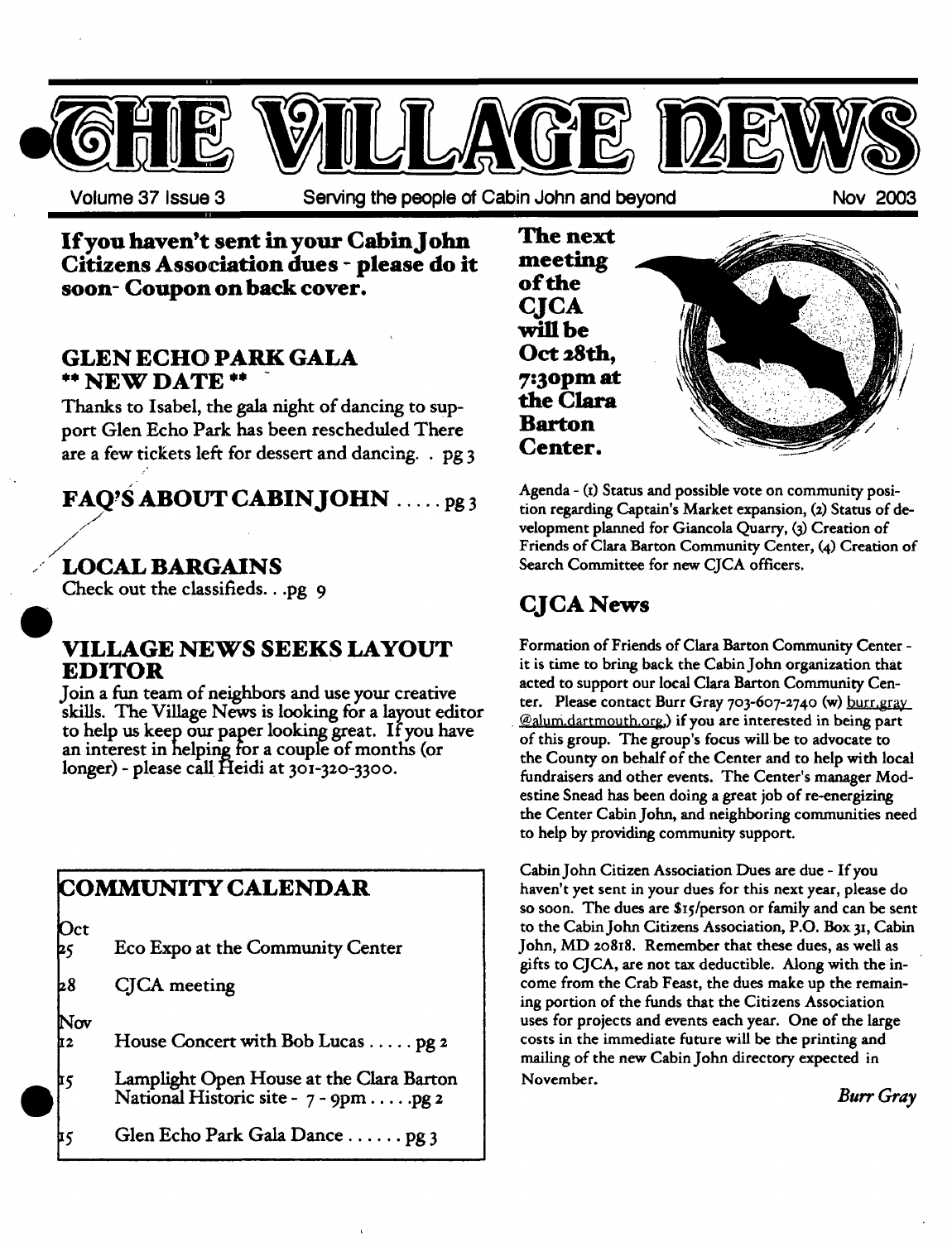

Volume 37 Issue 3 Serving the people of Cabin John and beyond Nov 2003

**If you haven't sent in your Cabin John Citizens Association dues - please do it soon- Coupon on back cover.** 

### **GLEN ECHO PARK GALA**  \*\* **NEW DATE \*\* -**

Thanks to Isabel, the gala night of dancing to support Glen Echo Park has been rescheduled There are a few tickets left for dessert and dancing.  $.$  pg 3

## FAQ'S ABOUT CABIN JOHN ......pg3

## LOCAL BARGAINS

/

Check out the classifieds...pg 9

## **VILLAGE NEWS SEEKS LAYOUT EDITOR**

Join a fun team of neighbors and use your creative skills. The Village News is looking for a layout editor to help us keep our paper looking great. If you have an interest in helping for a couple of months (or longer) - please call Heidi at 301-320-3300.

## COMMUNITY CALENDAR

| $\mathsf{Oct}$<br>þ٢ | Eco Expo at the Community Center                                                  |
|----------------------|-----------------------------------------------------------------------------------|
| b8                   | CJCA meeting                                                                      |
| Nov<br>12            | House Concert with Bob Lucas pg 2                                                 |
| Þ5                   | Lamplight Open House at the Clara Barton<br>National Historic site - 7 - 9pm pg 2 |

**E5**  Glen Echo Park Gala Dance ...... Pg 3



Agenda - (i) Status and possible vote on community position regarding Captain's Market expansion, (z) Status of development planned for Giancola Quarry, (3) Creation of Friends of Clara Barton Community Center, (4) Creation of Search Committee for new CJCA officers.

## **CJCA** News

Formation of Friends of Clara Barton Community Center it is time to bring back the Cabin John organization that acted to support our local Clara Barton Community Center. Please contact Burr Gray *7o3-607-274 o* (w) burr.gray @alum.dartmouth.org,) if you are interested in being part of this group. The group's focus will be to advocate to the County on behalf of the Center and to help with local fundraisers and other events. The Center's manager Modestine Snead has been doing a great job of re-energizing the Center Cabin John, and neighboring communities need to help by providing community support.

Cabin John Citizen Association Dues are due - If you haven't yet sent in your dues for this next year, please do so soon. The dues are SIs/person or family and can be sent to the Cabin John Citizens Association, P.O. Box 3x, Cabin John, MD zo818. Remember that these dues, as well as gifts to CJCA, are not tax deductible. Along with the income from the Crab Feast, the dues make up the remaining portion of the funds that the Citizens Association uses for projects and events each year. One of the large costs in the immediate future will be the printing and mailing of the new Cabin John directory expected in November.

*Burr Gray*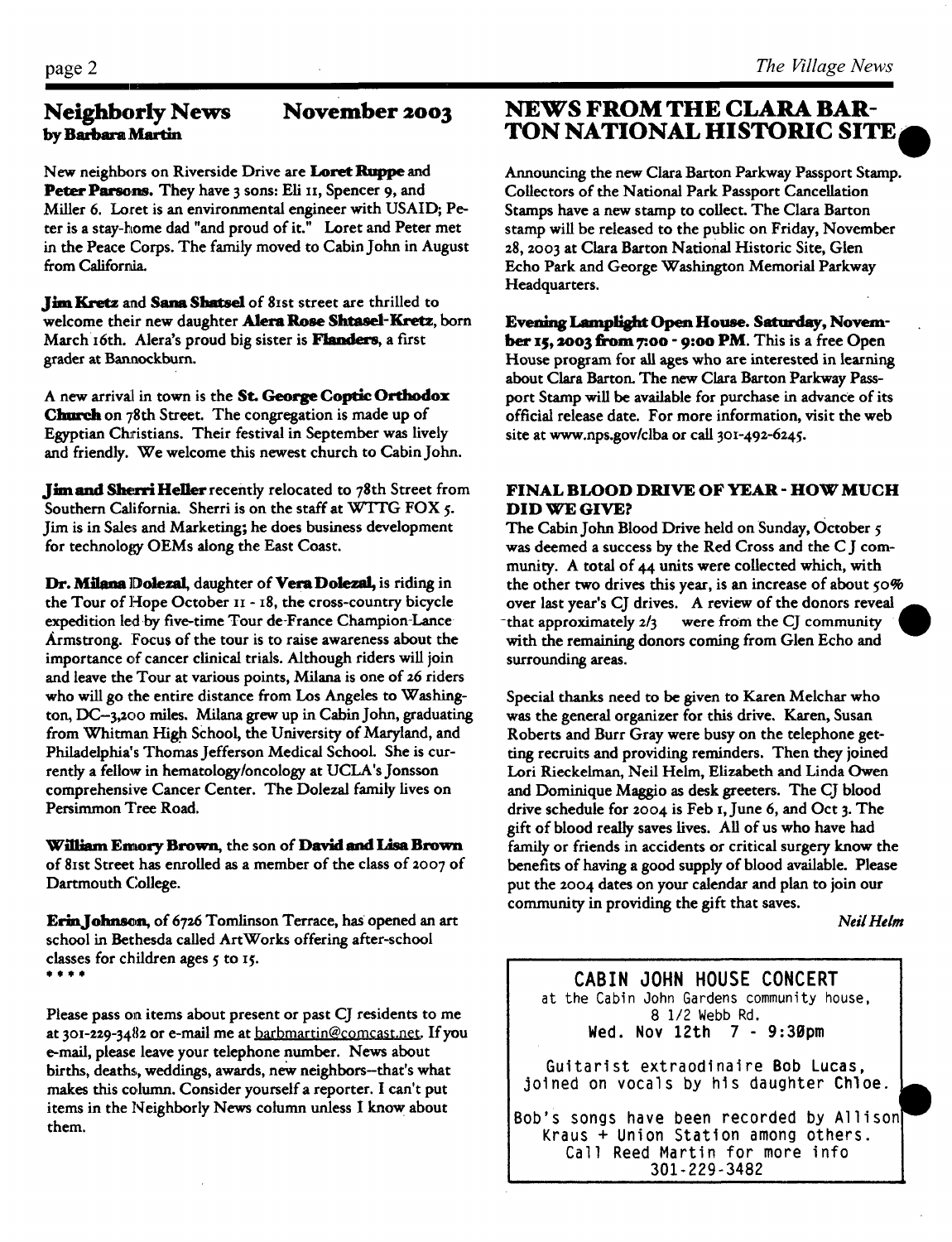### **Neighborly News by Barbara Martin**

New neighbors on Riverside Drive are Loret Ruppe and Peter Parsons. They have 3 sons: Eli 11, Spencer 9, and Miller 6. Loret is an environmental engineer with USAID; Peter is a stay-home dad "and proud of it." Loret and Peter met in the Peace Corps. The family moved to Cabin John in August from California.

Jim Kretz and Sana Shatsel of 81st street are thrilled to welcome their new daughter Alera Rose Shtasel-Kretz, born March 16th. Alera's proud big sister is Flanders, a first grader at Banaockburn.

A new arrival in town is the St. George Coptic Orthodox Church on 78th Street. The congregation is made up of Egyptian Christians. Their festival in September was lively and friendly. We welcome this newest church to Cabin John.

Jim and Sherri Heller recently relocated to 78th Street from Southern California. Sherri is on the staff at WTTG FOX 5. Jim is in Sales and Marketing; he does business development for technology OEMs along the East Coast.

Dr. Milana Dolezal, daughter of Vera Dolezal, is riding in the Tour of Hope October II - I8, the cross-country bicycle expedition led by five-time Tour de-France Champion-Lance Armstrong. Focus of the tour is to raise awareness about the importance of cancer clinical trials. Although riders will join and leave the Tour at various points, Milana is one of z6 riders who will go the entire distance from Los Angeles to Washington, DC-3,zoo miles. Milana grew up in Cabin John, graduating from Whitman High School, the University of Maryland, and Philadelphia's Thomas Jefferson Medical School. She is currently a fellow in hematology/oncology at UCLA's Jonsson comprehensive Cancer Center. The Dolezal family lives on Persimmon Tree Road.

William Emory Brown, the son of David and Lisa Brown of 8ist Street has enrolled as a member of the class of 2oo7 of Dartmouth College.

Erin Johnson, of 6726 Tomlinson Terrace, has opened an art school in Bethesda called ArtWorks offering after-school classes for children ages  $5$  to  $15$ .

Please pass on items about present or past CJ residents to me at 301-229-3482 or e-mail me at barbmartin@comcast.net. If you e-mail, please leave your telephone number. News about births, deaths., weddings, awards, new neighbors-that's what makes this column. Consider yourself a reporter. I can't put items in the Neighborly News column unless I know about them.

## **November 2003 NEWS FROM THE CLARA BAR-TON NATIONAL HISTORIC SITE**

Announcing the new Clara Barton Parkway Passport Stamp. Collectors of the National Park Passport Cancellation Stamps have a new stamp to collect. The Clara Barton stamp will be released to the public on Friday, November 28, 20o3 at Clara Barton National Historic Site, Glen Echo Park and George Washington Memorial Parkway Headquarters.

Evening Lamplight Open House. Saturday, November 15, 2003 from 7:00 - 9:00 PM. This is a free Open House program for all ages who are interested in learning about Clara Barton. The new Clara Barton Parkway Passport Stamp will be available for purchase in advance of its official release date. For more information, visit the web site at www.nps.gov/clba or call 3oi-492-6245.

#### **FINAL BLOOD DRIVE OF YEAR - HOW MUCH DID WE GIVE?**

The Cabin John Blood Drive held on Sunday, October 5 was deemed a success by the Red Cross and the C J community. A total of 44 units were collected which, with the other two drives this year, is an increase of about  $50\%$ over last year's CJ drives. A review of the donors reveal -that approximately 2/3 were from the CJ community with the remaining donors coming from Glen Echo and surrounding areas.

Special thanks need to be given to Karen Melchar who was the general organizer for this drive. Karen, Susan Roberts and Burr Gray were busy on the telephone getting recruits and providing reminders. Then they joined Lori Rieckelman, Neil Helm, Elizabeth and Linda Owen and Dominique Maggio as desk greeters. The CJ blood drive schedule for 2004 is Feb i,June 6, and Oct 3. The gift of blood really saves lives. All of us who have had family or friends in accidents or critical surgery know the benefits of having a good supply of blood available. Please put the 2004 dates on your calendar and plan to join our community in providing the gift that saves.

*Neil Helm* 

**CABIN JOHN HOUSE CONCERT**  at the Cabin John Gardens community house, 8 1/2 Webb Rd. Wed. Nov  $12th$  7 -  $9:30~\text{pm}$ Guitarist extraodinaire Bob Lucas, jolned on vocals by his daughter Chloe. Bob's songs have been recorded by Allison Kraus + Union Station among others. Call Reed Martin for more info 301-229-3482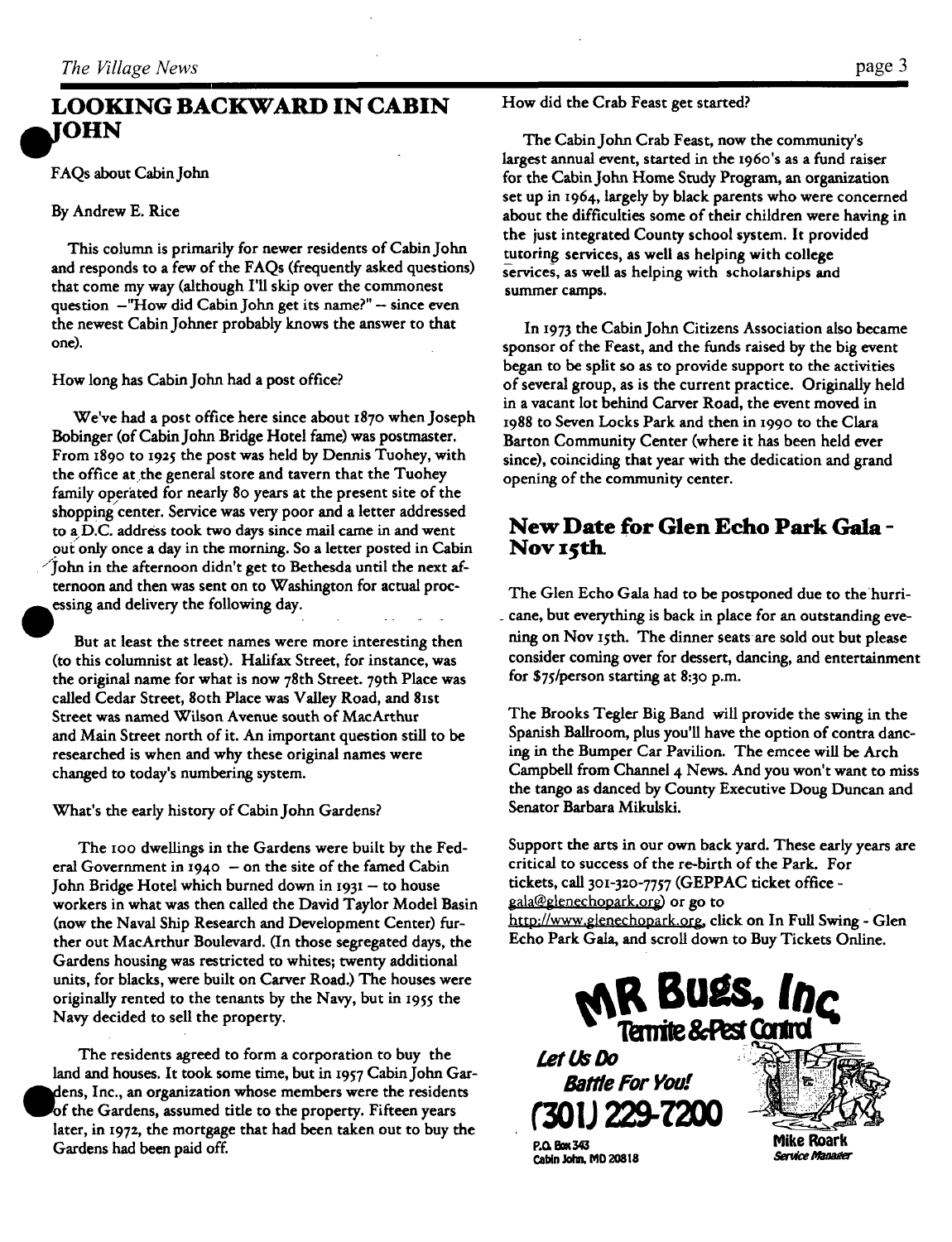## **LOOKING BACKWARD IN CABIN IOHN**

FAQs about Cabin John

By Andrew E. Rice

This column is primarily for newer residents of Cabin John and responds to a few of the FAQs (frequently asked questions) that come my way (although I'll skip over the commonest question  $-$ "How did Cabin John get its name?"  $-$  since even the newest Cabin Johner probably knows the answer to that one).

How long has Cabin John had a post office?

We've had a post office here since about 1870 when Joseph Bobinger (of Cabin John Bridge Hotel fame) was postmaster. From 1890 to 1925 the post was held by Dennis Tuohey, with the office at the general store and tavern that the Tuohey family operated for nearly 8o years at the present site of the shopping center. Service was very poor and a letter addressed to a~D.C, address took two days since mail came in and went out only once a day in the morning. So a letter posted in Cabin /john in the afternoon didn't get to Bethesda until the next afternoon and then was sent on to Washington for actual proc essing and delivery the following day.

But at least the street names were more interesting then (to this columnist at least). Halifax Street, for instance, was the original name for what is now 78th Street. 79th Place was called Cedar Street, 80th Place was Valley Road, and 81st Street was named Wilson Avenue south of MacArthur and Main Street north of it. An important question still to be researched is when and why these original names were changed to today's numbering system.

What's the early history of Cabin John Gardens?

The roo dwellings in the Gardens were built by the Federal Government in  $1940 - on$  the site of the famed Cabin John Bridge Hotel which burned down in  $1931 -$  to house workers in what was then called the David Taylor Model Basin (now the Naval Ship Research and Development Center) further out MacArthur Boulevard. (In those segregated days, the Gardens housing was restricted to whites; twenty additional units, for blacks, were built on Carver Road.) The houses were originally rented to the tenants by the Navy, but in 1955 the Navy decided to sell the property.

The residents agreed to form a corporation to buy the land and houses. It took some time, but in t957 Cabin John Gar dens, Inc., an organization whose members were the residents of the Gardens, assumed title to the property. Fifteen years later, in 1972, the mortgage that had been taken out to buy the Gardens had been paid off.

How did the Crab Feast get started?

The Cabin John Crab Feast, now the community's largest annual event, started in the 1960's as a fund raiser for the Cabin John Home Study Program, an organization set up in 1964, largely by black parents who were concerned about the difficulties some of their children were having in the just integrated County school system. It provided tutoring services, as well as helping with college services, as well as helping with scholarships and summer camps.

In I973 the Cabin John Citizens Association also became sponsor of the Feast, and the funds raised by the big event began to be split so as to provide support to the activities of several group, as is the current practice. Originally held in a vacant lot behind Carver Road, the event moved in 1988 to Seven Locks Park and then in 199o to the Clara Barton Community Center (where it has been held ever since), coinciding that year with the dedication and grand opening of the community center.

## **New Date for Glen Echo Park Gala -**  Nov 15th.

The Glen Echo Gala had to be postponed due to the hurri- \_ cane, but everything is back in place for an outstanding evening on Nov Isth. The dinner seats are sold out but please consider coming over for dessert, dancing, and entertainment for \$75/person starting at 8:3o p.m.

The Brooks Tegler Big Band will provide the swing in the Spanish Ballroom, plus you'll have the option of contra dancing in the Bumper Car Pavilion. The emcee will be Arch Campbell from Channel 4 News. And you won't want to miss the tango as danced by County Executive Doug Duncan and Senator Barbara Mikuiski.

Support the arts in our own back yard. These early years are critical to success of the re-birth of the Park. For tickets, call *3oi-3zo-7757* (GEPPAC ticket office gala@glenechopark.org) or go to http://www.glenechopark.org, click on In Full Swing - Glen Echo Park Gala, and scroll down to Buy Tickets Online.

Cabin John, MD 20818

Let Us Do

**Battle For You!** 

**ill 229** 



**Inc**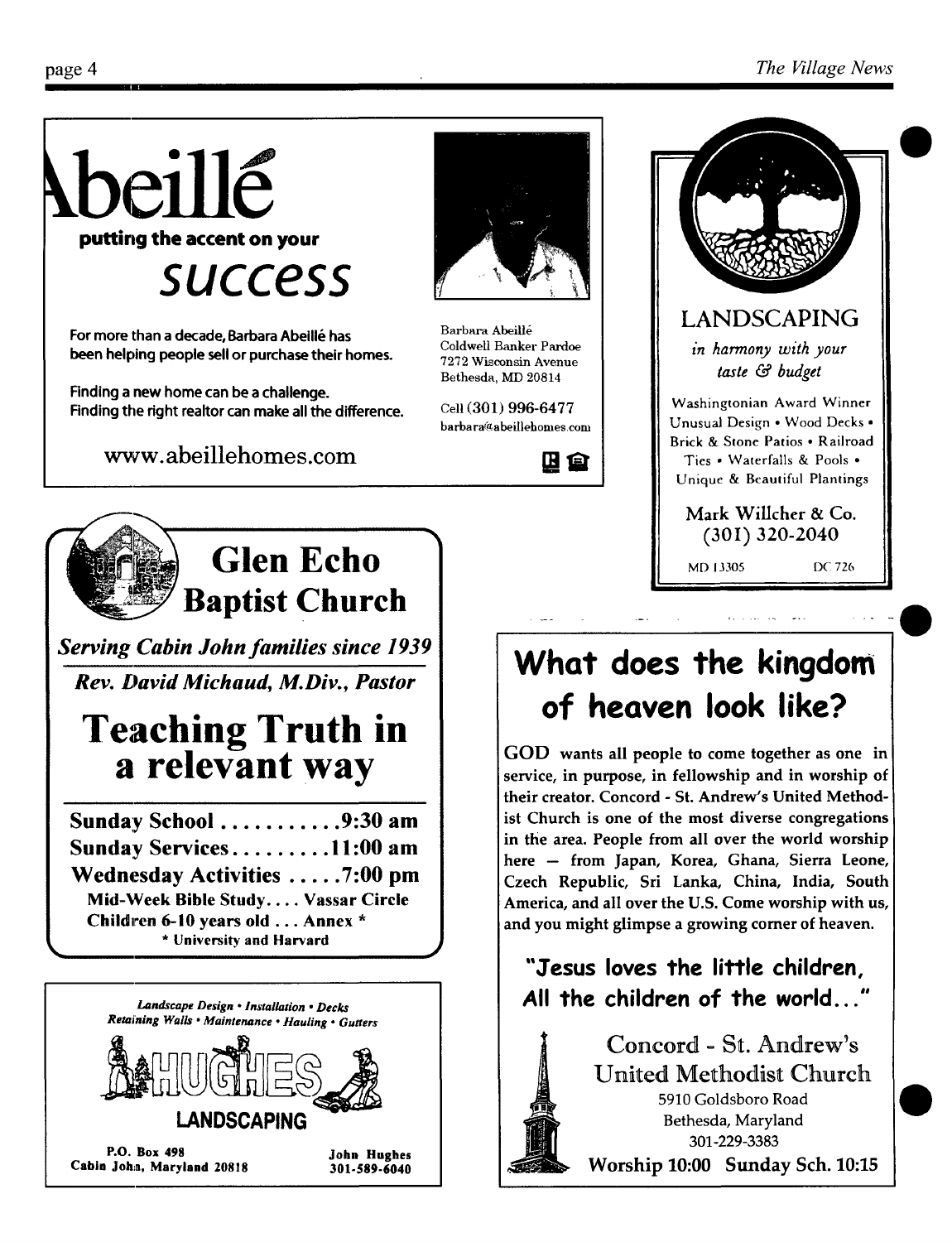LANDSCAPING *in harmony with your taste & budget* 

Washingtonian Award Winner Unusual Design • Wood Decks ° Brick & Stone Patios • Railroad Ties • Waterfalls & Pools • Unique & Beautiful Plantings

Mark Willcher & Co. (30I) 320-2040 MD 13305 DC 726



For more than a decade, Barbara Abeillé has been helping people sell or purchase their homes.

**Finding a new home can be a challenge.**  Finding the right realtor can make all the difference.

www.abeillehomes.com



**Glen Echo ~~ Baptist Church** 

*Serving Cabin John families since 1939 Rev. David Michaud, M.Div., Pastor* 

## **Teaching Truth in a relevant way**

**Sunday School ........... 9:30 am Sunday Services ......... 11:00 am Wednesday Activities ..... 7:00 pm Mid-~Veek Bible Study .... Vassar Circle**  Children 6-10 years old... **Annex \***  • University and Harvard





Barbara AbeiU6 Coldwell Banker Pardoe 7272 Wisconsin Avenue Bethesda, MD 20814

Cell (301) **996-6477**   $bar{a}$ @abeillehomes.com

四旦

# **What does the kingdom of heaven look like?**

GOD wants all people to come together as one in service, in purpose, in fellowship and in worship of their creator. Concord - St. Andrew's United Methodist Church is one of the most diverse congregations in the area. People from all over the world worship here - from Japan, Korea, Ghana, Sierra Leone, Czech Republic, Sri Lanka, China, India, South America, and all over the U.S. Come worship with us, and you might glimpse a growing comer of heaven.

**"Jesus loves the little children, All the children of the world..."** 



Concord - St. Andrew's United Methodist Church 5910 Goldsboro Road Bethesda, Maryland 301-229-3383 Worship 10:00 Sunday Sch. 10:15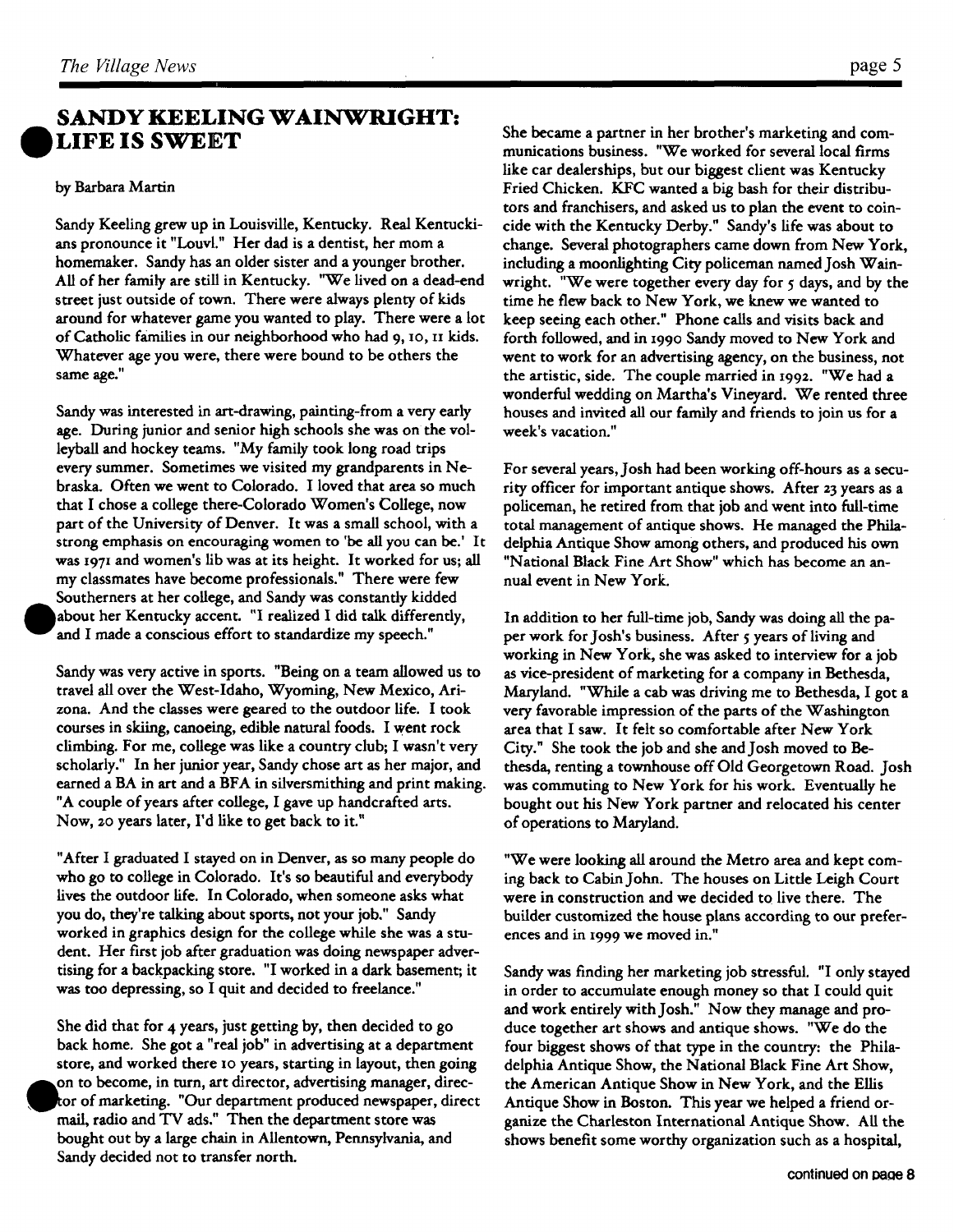## **SANDY KEELING WAINWRIGHT: ILIFE IS SWEET**

#### by Barbara Martin

Sandy Keeling grew up in Louisville, Kentucky. Real Kentuckians pronounce it "Louvl." Her dad is a dentist, her mom a homemaker. Sandy has an older sister and a younger brother. All of her family are still in Kentucky. "We lived on a dead-end street just outside of town. There were always plenty of kids around for whatever game you wanted to play. There were a lot of Catholic families in our neighborhood who had 9, io, i1 kids. Whatever age you were, there were bound to be others the same age."

Sandy was interested in art-drawing, painting-from a very early age. During junior and senior high schools she was on the volleyball and hockey teams. "My family took long road trips every summer. Sometimes we visited my grandparents in Nebraska. Often we went to Colorado. I loved that area so much that I chose a college there-Colorado Women's College, now part of the University of Denver. It was a small school, with a strong emphasis on encouraging women to 'be all you can be.' It was 1971 and women's lib was at its height. It worked for us; all my classmates have become professionals." There were few Southerners at her college, and Sandy was constantly kidded about her Kentucky accent. "I realized I did talk differently, and I made a conscious effort to standardize my speech."

Sandy was very active in sports. "Being on a team allowed us to travel all over the West-Idaho, Wyoming, New Mexico, Arizona. And the classes were geared to the outdoor life. I took courses in skiing, canoeing, edible natural foods. I went rock climbing. For me, college was like a country club; I wasn't very scholarly." In her junior year, Sandy chose art as her major, and earned a BA in art and a BFA in silversmithing and print making. "A couple of years after college, I gave up handcrafted arts. Now, zo years later, I'd like to get back to it."

"After I graduated I stayed on in Denver, as so many people do who go to college in Colorado. It's so beautiful and everybody lives the outdoor life. In Colorado, when someone asks what you do, they're talking about sports, not your job." Sandy worked in graphics design for the college while she was a student. Her first job after graduation was doing newspaper advertising for a backpacking store. "I worked in a dark basement; it was too depressing, so I quit and decided to freelance."

She did that for 4 years, just getting by, then decided to go back home. She got a "real job" in advertising at a department store, and worked there Io years, starting in layout, then going on to become, in turn, art director, advertising manager, direcof marketing. "Our department produced newspaper, direct mail, radio and TV ads." Then the department store was bought out by a large chain in Allentown, Pennsylvania, and Sandy decided not to transfer north.

She became a partner in her brother's marketing and communications business. "We worked for several local firms like car dealerships, but our biggest client was Kentucky Fried Chicken. KFC wanted a big bash for their distributors and franchisers, and asked us to plan the event to coincide with the Kentucky Derby." Sandy's life was about to change. Several photographers came down from New York, including a moonlighting City policeman named Josh Wainwright. "We were together every day for  $\varsigma$  days, and by the time he flew back to New York, we knew we wanted to keep seeing each other." Phone calls and visits back and forth followed, and in z99o Sandy moved to New York and went to work for an advertising agency, on the business, not the artistic, side. The couple married in I99z. "We had a wonderful wedding on Martha's Vineyard. We rented three houses and invited all our family and friends to join us for a week's vacation."

For several years, Josh had been working off-hours as a security officer for important antique shows. After 23 years as a policeman, he retired from that job and went into full-time total management of antique shows. He managed the Philadelphia Antique Show among others, and produced his own "National Black Fine Art Show" which has become an annual event in New York.

In addition to her full-time job, Sandy was doing all the paper work for Josh's business. After 5 years of living and working in New York, she was asked to interview for a job as vice-president of marketing for a company in Bethesda, Maryland. "While a cab was driving me to Bethesda, I got a very favorable impression of the parts of the Washington area that I saw. It felt so comfortable after New York City." She took the job and she and Josh moved to Bethesda, renting a townhouse off Old Georgetown Road. Josh was commuting to New York for his work. Eventually he bought out his New York partner and relocated his center of operations to Maryland.

"We were looking all around the Metro area and kept coming back to Cabin John. The houses on Litde Leigh Court were in construction and we decided to live there. The builder customized the house plans according to our preferences and in I999 we moved in."

Sandy was finding her marketing job stressful. "I only stayed in order to accumulate enough money so that I could quit and work entirely with Josh." Now they manage and produce together art shows and antique shows. "We do the four biggest shows of that type in the country: the Philadelphia Antique Show, the National Black Fine Art Show, the American Antique Show in New York, and the Ellis Antique Show in Boston. This year we helped a friend organize the Charleston International Antique Show. All the shows benefit some worthy organization such as a hospital,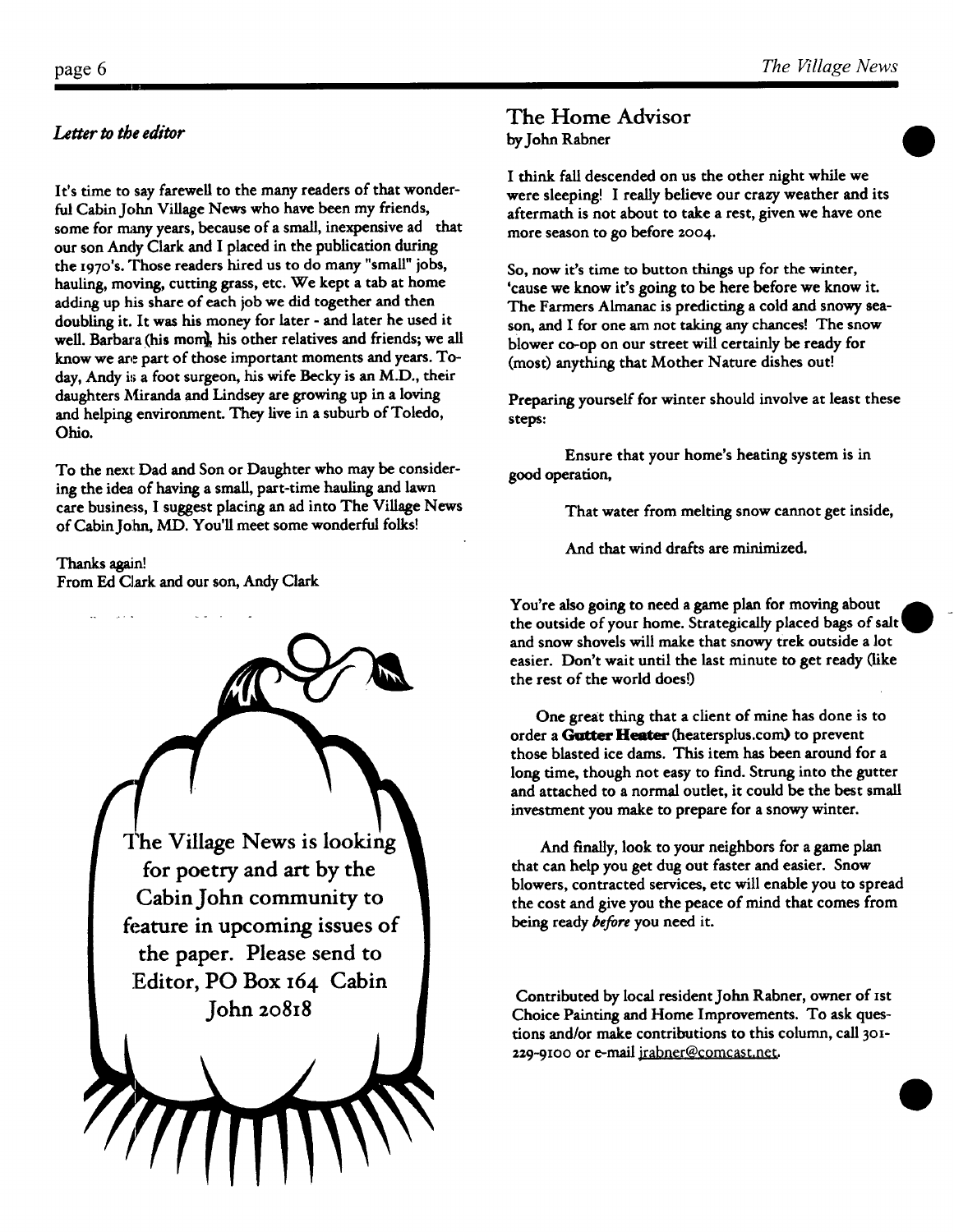### *Letter to the editor*

It's time to say farewell to the many readers of that wonderful Cabin John Village News who have been my friends, some for many years, because of a small, inexpensive ad that our son Andy Clark and I placed in the publication during the x97o's. Those readers hired us to do many "small" jobs, hauling, moving, cutting grass, etc. We kept a tab at home adding up his share of each job we did together and then doubling it. It was his money for later - and later he used it well. Barbara (his mom), his other relatives and friends; we all know we are part of those important moments and years. Today, Andy is a foot surgeon, his wife Becky is an M.D., their daughters Miranda and Lindsey are growing up in a loving and helping environment. They live in a suburb of Toledo, Ohio.

To the next: Dad and Son or Daughter who may be considering the idea of having a small, part-time hauling and lawn care business, I suggest placing an ad into The Village News of Cabin J0hn, MD. You'll meet some wonderful folks!

**Thanks again!**  From Ed Clark and our son, Andy Clark



### **The Home Advisor**  by John Rabner

I think fall descended on us the other night while we were sleeping! I really believe our crazy weather and its aftermath is not about to take a rest, given we have one more season to go before 2oo4.

So, now it's time to button things up for the winter, 'cause we know it's going to be here before we know it. The Farmers Almanac is predicting a cold and snowy season, and I for one am not taking any chances! The snow blower co-op on our street will certainly be ready for (most) anything that Mother Nature dishes out!

Preparing yourself for winter should involve at least these steps:

Ensure that your home's heating system is in good operation,

That water from melting snow cannot get inside,

And that wind drafts are minimized.

You're also going to need a game plan for moving about the outside of your home. Strategically placed bags and snow shovels will make that snowy trek outside a lot easier. Don't wait until the last minute to get ready (like the rest of the world does!)

One great thing that a client of mine has done is to order a Gutter Heater (heatersplus.com) to prevent those blasted ice dams. This item has been around for a long time, though not easy to find. Strung into the gutter and attached to a normal outlet, it could be the best small investment you make to prepare for a snowy winter.

And finally, look to your neighbors for a game plan that can help you get dug out faster and easier. Snow blowers, contracted services, etc will enable you to spread the cost and give you the peace of mind that comes from being ready *before* you need it.

Contributed by local resident John Rabner, owner of ist Choice Painting and Home Improvements. To ask questions and/or make contributions to this column, call 301-229-9100 or e-mail irabner@comcast.net.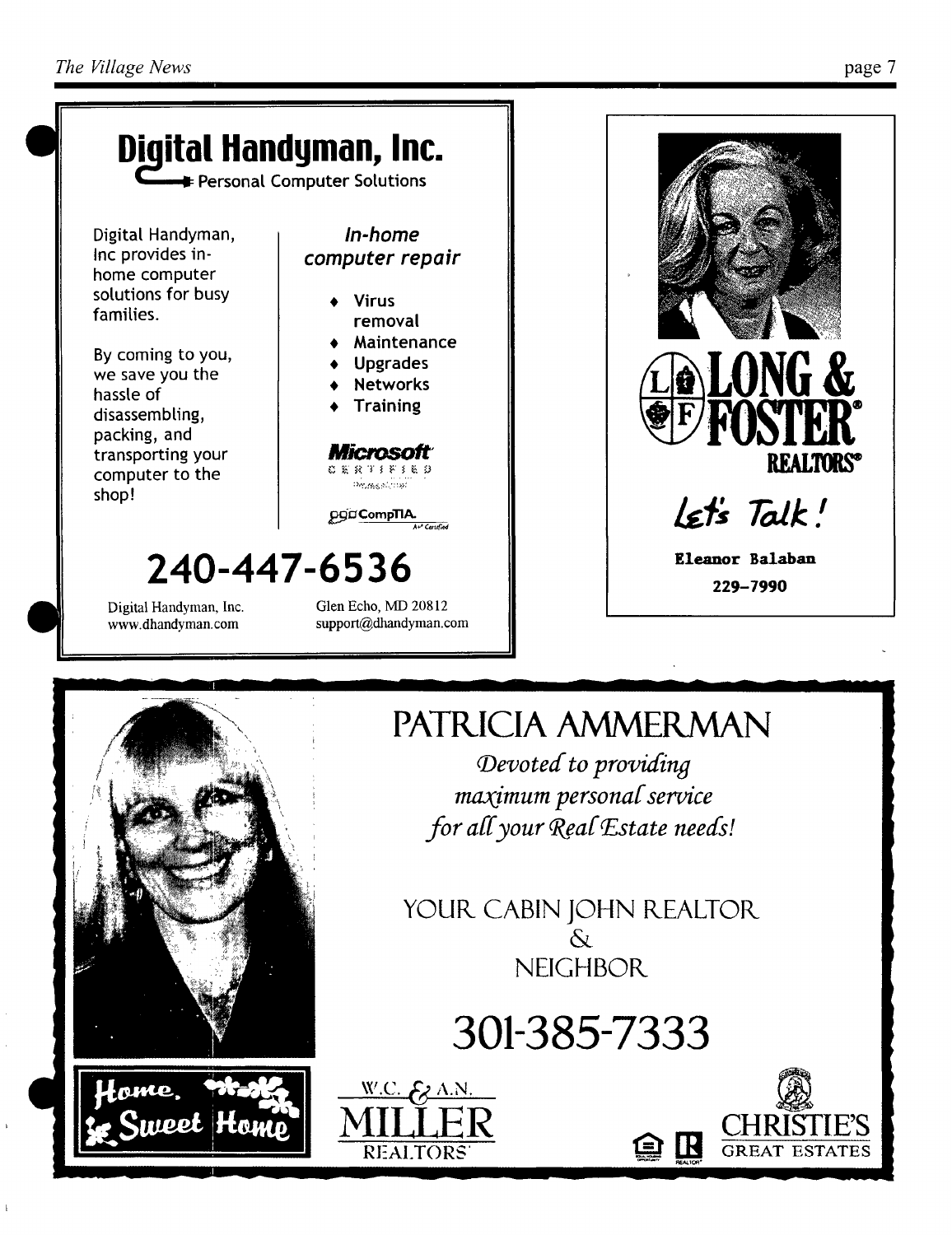



# **PATRICIA AMMERMAN**

Devoted to providing maximum personal service for all your Real Estate needs!

YOUR CABIN JOHN REALTOR  $\delta$ **NEIGHBOR** 

**301-385-7333** 

 $W.C.$   $E_Z$  A.N.

**MILLER** 





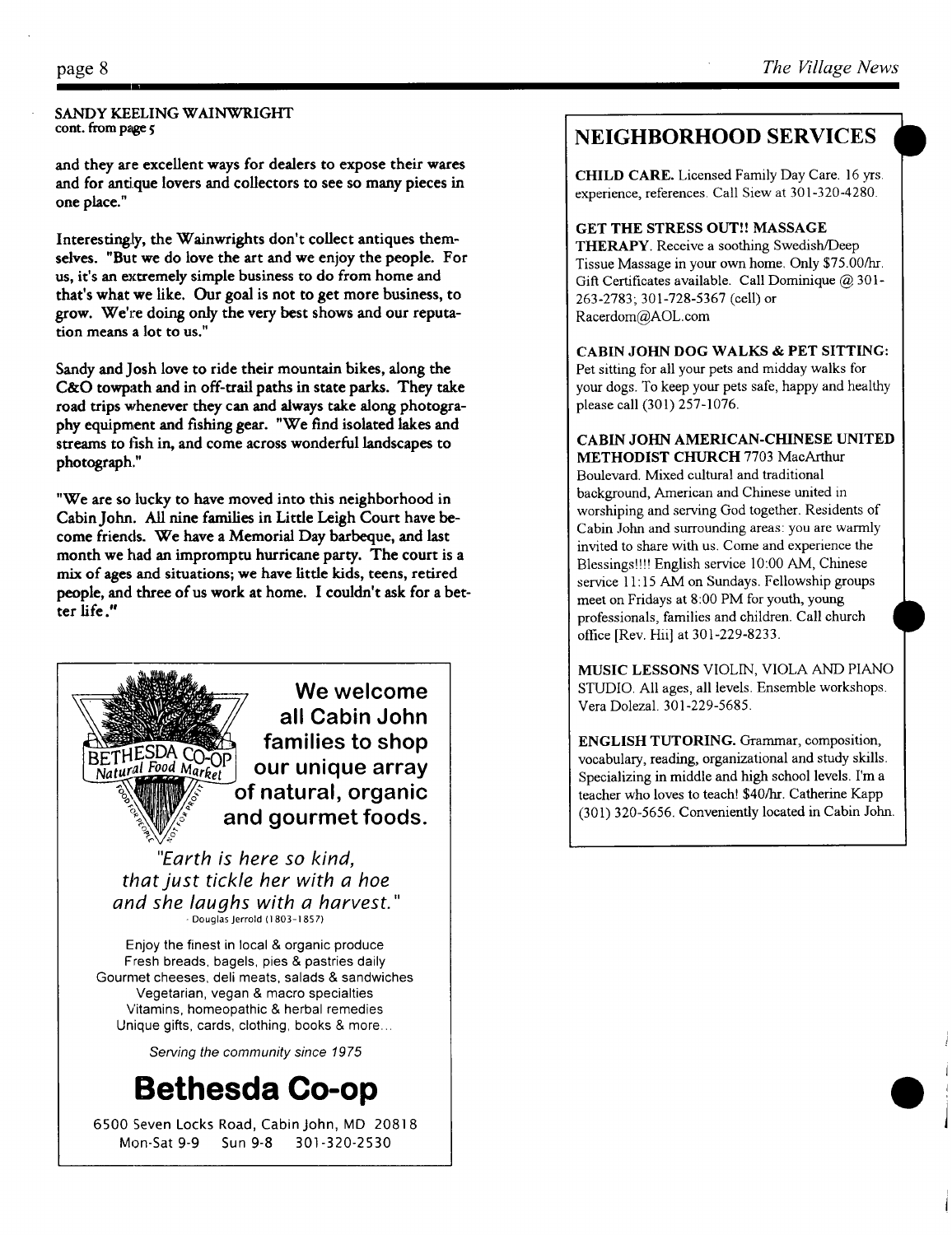#### SANDY KEELING WAINWRIGHT cont. from page 5

and they are excellent ways for dealers to expose their wares and for antique lovers and collectors to see so many pieces in one place."

Interestingly, the Wainwrights don't collect antiques themselves. "But we do love the art and we enjoy the people. For us, it's an extremely simple business to do from home and that's what we like. Our goal is not to get more business, to grow. *We're* doing only the very best shows and our reputation means a lot to us."

Sandy and Josh love to ride their mountain bikes, along the C&O towpath and in off-trail paths in state parks. They take road trips whenever they can and always take along photography equipment and fishing gear. "We find isolated lakes and streams to fish in, and come across wonderful landscapes to photograph."

"We are so lucky to have moved into this neighborhood in Cabin John. All nine families in Little Leigh Court have become friends. We have a Memorial Day barbeque, and last month we had an impromptu hurricane party. The court is a mix of ages and situations; we have little kids, teens, retired people, and three of us work at home. I couldn't ask for a better life."



*that just tickle her with a hoe and she laughs with a harvest."*  - Douglas Jerrold (1803-1857)

Enjoy the finest in local & organic produce Fresh breads, bagels, pies & pastries daily Gourmet cheeses, deli meats, salads & sandwiches Vegetarian, vegan & macro specialties Vitamins, homeopathic & herbal remedies Unique gifts, cards, clothing, books & more..

*Serving the community since 1975* 

# **Bethesda Co-op**

6500 Seven Locks Road, Cabin John, MD 20818 Mon-Sat 9-9 Sun 9-8 301-320-2530

## **NEIGHBORHOOD SERVICES**

CHILD CARE. Licensed Family Day Care. 16 yrs. experience, references. Call Slew at 301-320-4280.

GET THE STRESS OUT!! MASSAGE THERAPY. Receive a soothing Swedish/Deep Tissue Massage in your own home. Only \$75.00/hr. Gift Certificates available. Call Dominique @ 301-263-2783; 301-728-5367 (cell) or Racerdom@AOL.com

CABIN JOHN DOG WALKS & PET SITTING: Pet sitting for all your pets and midday walks for your dogs. To keep your pets safe, happy and healthy please call (301) 257-1076.

CABIN JOHN AMERICAN-CHINESE UNITED METHODIST CHURCH 7703 MacArthur Boulevard. Mixed cultural and traditional

background, American and Chinese united in worshiping and serving God together. Residents of Cabin John and surrounding areas: you are warmly invited to share with us. Come and experience the Blessings!!!! English service 10:00 AM, Chinese service 11:15 AM on Sundays. Fellowship groups meet on Fridays at 8:00 PM for youth, young professionals, families and children. Call church office [Rev. Hii] at 301-229-8233.

MUSIC LESSONS VIOLIN, VIOLA AND PIANO STUDIO. All ages, all levels. Ensemble workshops. Vera Dolezal. 301-229-5685.

ENGLISH TUTORING. Grammar, composition, vocabulary, reading, organizational and study skills. Specializing in middle and high school levels. I'm a teacher who loves to teach! \$40/hr. Catherine Kapp (301) 320-5656. Conveniently located in Cabin John.

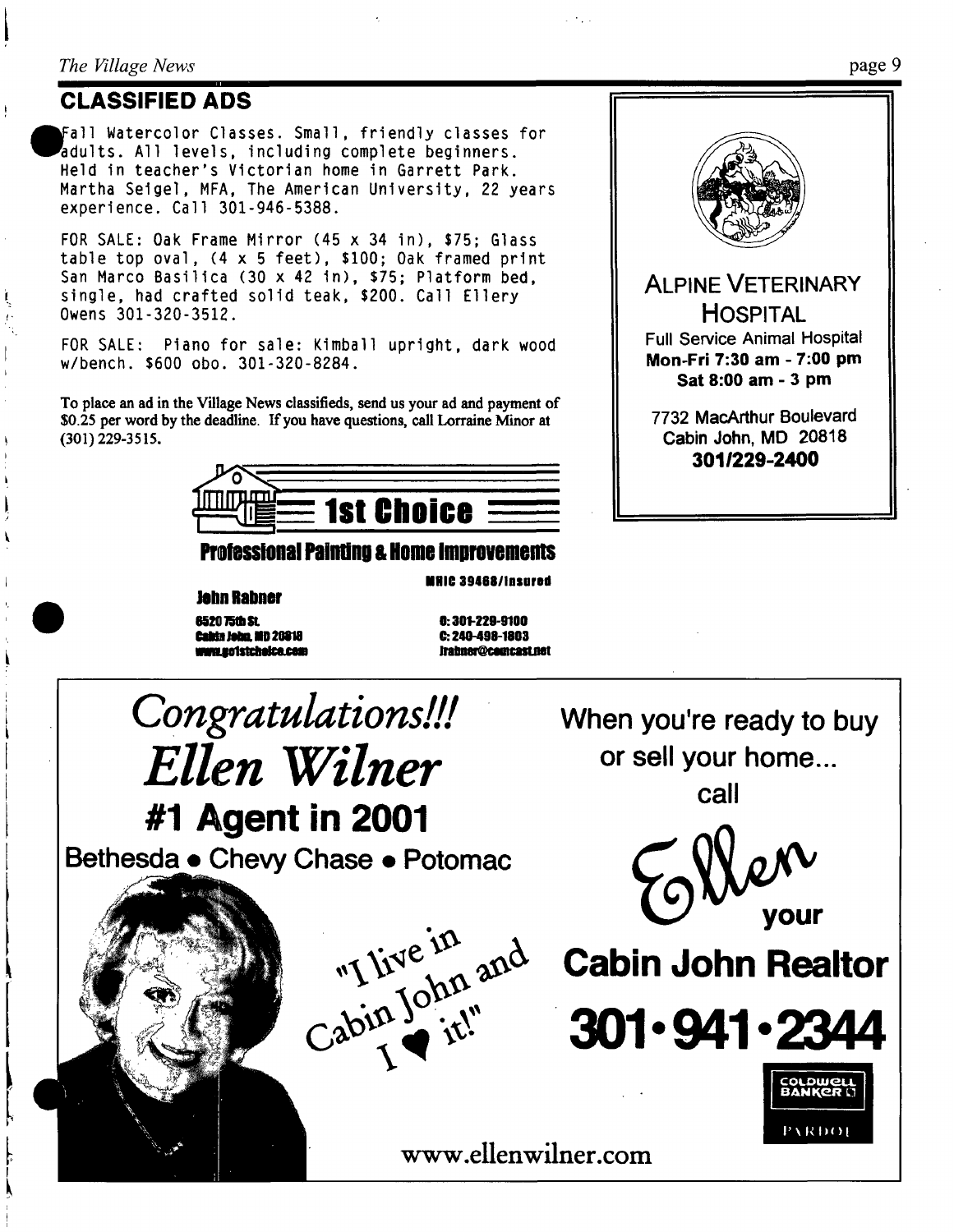#### *The Village News*

## **CLASSIFIED ADS**

Fall Watercolor Classes. Small, friendly classes for adults. All levels, including complete beginners. Held in teacher's Victorian home in Garrett Park. Martha Seigel, MFA, The American University, 22 years experience. Call 301-946-5388.

FOR SALE: Oak Frame Mirror (45 x 34 in), \$75; Glass table top oval, (4 x 5 feet), \$100; Oak framed print San Marco Basilica (30 x 42 in), \$75; Platform bed, single, had crafted solid teak, \$200. Call Ellery Owens 301-320-3512.

FOR SALE: Piano for sale: Kimball upright, dark wood w/bench. \$600 obo. 301-320-8284.

To place an ad in the Village News classifieds, send us your ad and payment of \$0.25 per word by the deadline. If you have questions, call Lorraine Minor **at**  (301) 229-3515.



### **Professional Painting & Home Improvements**

**IIHIC 3948811nsured** 

**0620 ~ It. O: 301-229-9100 Calda Jeiln. lid 20818 C:. 240-499-1803** 

**Jehn Rabner** 

**imeJinnehl~e=m ~C~Leet**